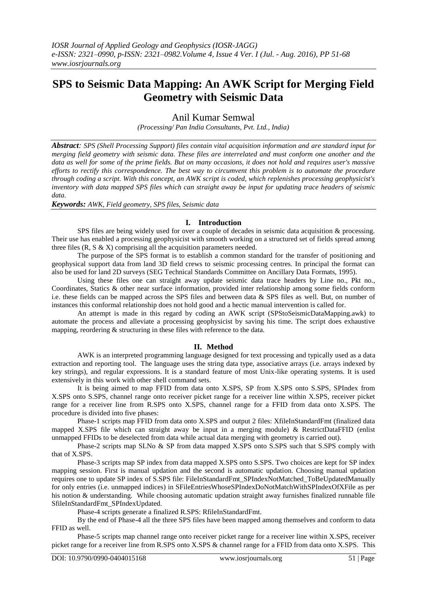# **SPS to Seismic Data Mapping: An AWK Script for Merging Field Geometry with Seismic Data**

Anil Kumar Semwal

*(Processing/ Pan India Consultants, Pvt. Ltd., India)*

*Abstract: SPS (Shell Processing Support) files contain vital acquisition information and are standard input for merging field geometry with seismic data. These files are interrelated and must conform one another and the data as well for some of the prime fields. But on many occasions, it does not hold and requires user's massive efforts to rectify this correspondence. The best way to circumvent this problem is to automate the procedure through coding a script. With this concept, an AWK script is coded, which replenishes processing geophysicist's inventory with data mapped SPS files which can straight away be input for updating trace headers of seismic data.*

*Keywords: AWK, Field geometry, SPS files, Seismic data*

#### **I. Introduction**

SPS files are being widely used for over a couple of decades in seismic data acquisition & processing. Their use has enabled a processing geophysicist with smooth working on a structured set of fields spread among three files  $(R, S \& X)$  comprising all the acquisition parameters needed.

The purpose of the SPS format is to establish a common standard for the transfer of positioning and geophysical support data from land 3D field crews to seismic processing centres. In principal the format can also be used for land 2D surveys (SEG Technical Standards Committee on Ancillary Data Formats, 1995).

Using these files one can straight away update seismic data trace headers by Line no., Pkt no., Coordinates, Statics & other near surface information, provided inter relationship among some fields conform i.e. these fields can be mapped across the SPS files and between data & SPS files as well. But, on number of instances this conformal relationship does not hold good and a hectic manual intervention is called for.

An attempt is made in this regard by coding an AWK script (SPStoSeismicDataMapping.awk) to automate the process and alleviate a processing geophysicist by saving his time. The script does exhaustive mapping, reordering & structuring in these files with reference to the data.

#### **II. Method**

AWK is an interpreted programming language designed for text processing and typically used as a data extraction and reporting tool. The language uses the string data type, associative arrays (i.e. arrays indexed by key strings), and regular expressions. It is a standard feature of most Unix-like operating systems. It is used extensively in this work with other shell command sets.

It is being aimed to map FFID from data onto X.SPS, SP from X.SPS onto S.SPS, SPIndex from X.SPS onto S.SPS, channel range onto receiver picket range for a receiver line within X.SPS, receiver picket range for a receiver line from R.SPS onto X.SPS, channel range for a FFID from data onto X.SPS. The procedure is divided into five phases:

Phase-1 scripts map FFID from data onto X.SPS and output 2 files: XfileInStandardFmt (finalized data mapped X.SPS file which can straight away be input in a merging module) & RestrictDataFFID (enlist unmapped FFIDs to be deselected from data while actual data merging with geometry is carried out).

Phase-2 scripts map SLNo & SP from data mapped X.SPS onto S.SPS such that S.SPS comply with that of X.SPS.

Phase-3 scripts map SP index from data mapped X.SPS onto S.SPS. Two choices are kept for SP index mapping session. First is manual updation and the second is automatic updation. Choosing manual updation requires one to update SP index of S.SPS file: FileInStandardFmt\_SPIndexNotMatched\_ToBeUpdatedManually for only entries (i.e. unmapped indices) in SFileEntriesWhoseSPIndexDoNotMatchWithSPIndexOfXFile as per his notion & understanding. While choosing automatic updation straight away furnishes finalized runnable file SfileInStandardFmt\_SPIndexUpdated.

Phase-4 scripts generate a finalized R.SPS: RfileInStandardFmt.

By the end of Phase-4 all the three SPS files have been mapped among themselves and conform to data FFID as well.

Phase-5 scripts map channel range onto receiver picket range for a receiver line within X.SPS, receiver picket range for a receiver line from R.SPS onto X.SPS & channel range for a FFID from data onto X.SPS. This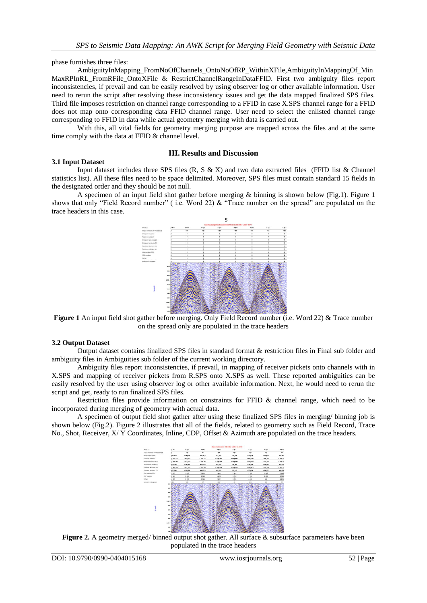phase furnishes three files:

AmbiguityInMapping\_FromNoOfChannels\_OntoNoOfRP\_WithinXFile,AmbiguityInMappingOf\_Min MaxRPInRL FromRFile OntoXFile & RestrictChannelRangeInDataFFID. First two ambiguity files report inconsistencies, if prevail and can be easily resolved by using observer log or other available information. User need to rerun the script after resolving these inconsistency issues and get the data mapped finalized SPS files. Third file imposes restriction on channel range corresponding to a FFID in case X.SPS channel range for a FFID does not map onto corresponding data FFID channel range. User need to select the enlisted channel range corresponding to FFID in data while actual geometry merging with data is carried out.

With this, all vital fields for geometry merging purpose are mapped across the files and at the same time comply with the data at FFID & channel level.

#### **3.1 Input Dataset**

### **III. Results and Discussion**

Input dataset includes three SPS files  $(R, S & X)$  and two data extracted files (FFID list & Channel statistics list). All these files need to be space delimited. Moreover, SPS files must contain standard 15 fields in the designated order and they should be not null.

A specimen of an input field shot gather before merging  $\&$  binning is shown below (Fig.1). Figure 1 shows that only "Field Record number" ( i.e. Word 22) & "Trace number on the spread" are populated on the trace headers in this case.



**Figure 1** An input field shot gather before merging. Only Field Record number (i.e. Word 22) & Trace number on the spread only are populated in the trace headers

#### **3.2 Output Dataset**

Output dataset contains finalized SPS files in standard format & restriction files in Final sub folder and ambiguity files in Ambiguities sub folder of the current working directory.

Ambiguity files report inconsistencies, if prevail, in mapping of receiver pickets onto channels with in X.SPS and mapping of receiver pickets from R.SPS onto X.SPS as well. These reported ambiguities can be easily resolved by the user using observer log or other available information. Next, he would need to rerun the script and get, ready to run finalized SPS files.

Restriction files provide information on constraints for FFID & channel range, which need to be incorporated during merging of geometry with actual data.

A specimen of output field shot gather after using these finalized SPS files in merging/ binning job is shown below (Fig.2). Figure 2 illustrates that all of the fields, related to geometry such as Field Record, Trace No., Shot, Receiver, X/ Y Coordinates, Inline, CDP, Offset & Azimuth are populated on the trace headers.



**Figure 2.** A geometry merged/ binned output shot gather. All surface & subsurface parameters have been populated in the trace headers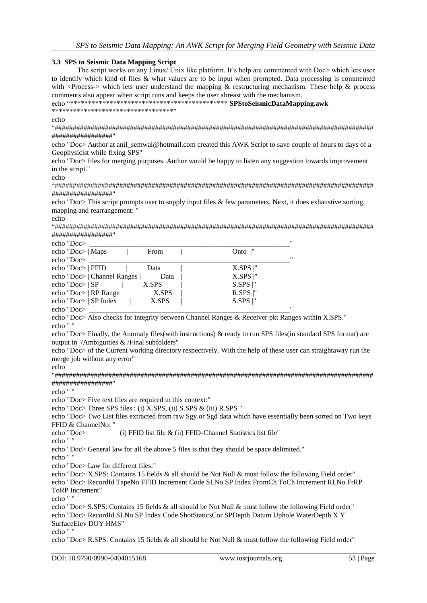### 3.3 SPS to Seismic Data Mapping Script

The script works on any Linux/ Unix like platform. It's help are commented with Doc> which lets user to identify which kind of files & what values are to be input when prompted. Data processing is commented with <Process-> which lets user understand the mapping  $\&$  restructuring mechanism. These help  $\&$  process comments also appear when script runs and keeps the user abreast with the mechanism.

echo "\*\*\*\*\*\*\*\*\*\*\* \*\*\*\*\*\*\*\*\*\*\*\*\*\*\*\*\*\*\*\*\*\*\*\*\*\*\*\*\*\*\*\*\*\*\*\*

# echo

#################

echo "Doc> Author at anil\_semwal@hotmail.com created this AWK Script to save couple of hours to days of a Geophysicist while fixing SPS"

echo "Doc> files for merging purposes. Author would be happy to listen any suggestion towards improvement in the script."

echo

#################

echo "Doc> This script prompts user to supply input files  $\&$  few parameters. Next, it does exhaustive sorting, mapping and rearrangement: "

echo

#################

 $\mathbf{m}$ 

| $ECIO$ $D0C$         |                             |       |  |                        |                   |
|----------------------|-----------------------------|-------|--|------------------------|-------------------|
| echo "Doc $>$   Maps |                             | From  |  | Onto                   |                   |
| echo "Doc>           |                             |       |  |                        | $^{\prime\prime}$ |
| echo "Doc>   FFID    |                             | Data  |  | $X.SPS$ $\mathsf{I}^n$ |                   |
|                      | echo "Doc>   Channel Ranges | Data  |  | $X.SPS$  "             |                   |
| echo "Doc $>$   SP   |                             | X.SPS |  | $S.SPS$  "             |                   |
|                      | echo "Doc>   RP Range       | X.SPS |  | $R.SPS$  "             |                   |
|                      | echo "Doc $>$   SP Index    | X.SPS |  | $S.SPS$  "             |                   |
| echo "Doc>           |                             |       |  |                        | $^{\prime\prime}$ |

echo "Doc> Also checks for integrity between Channel Ranges & Receiver pkt Ranges within X.SPS." echo " "

echo "Doc> Finally, the Anomaly files(with instructions) & ready to run SPS files(in standard SPS format) are output in /Ambiguities & /Final subfolders"

echo "Doc> of the Current working directory respectively. With the help of these user can straightaway run the merge job without any error"

echo

#################

echo " "

echo "Doc> Five text files are required in this context:"

echo "Doc> Three SPS files : (i) X.SPS, (ii) S.SPS & (iii) R.SPS "

echo "Doc> Two List files extracted from raw Sgy or Sgd data which have essentially been sorted on Two keys FFID & ChannelNo: "

echo "Doc> (i) FFID list file & (ii) FFID-Channel Statistics list file"

echo " "

echo "Doc> General law for all the above 5 files is that they should be space delimited."

echo " "

echo "Doc> Law for different files:"

echo "Doc> X.SPS: Contains 15 fields & all should be Not Null & must follow the following Field order"

echo "Doc> RecordId TapeNo FFID Increment Code SLNo SP Index FromCh ToCh Increment RLNo FrRP **ToRP** Increment"

echo " "

echo "Doc> S.SPS: Contains 15 fields & all should be Not Null & must follow the following Field order" echo "Doc> RecordId SLNo SP Index Code ShotStaticsCor SPDepth Datum Uphole WaterDepth X Y SurfaceElev DOY HMS"

echo " '

echo "Doc> R.SPS: Contains 15 fields & all should be Not Null & must follow the following Field order"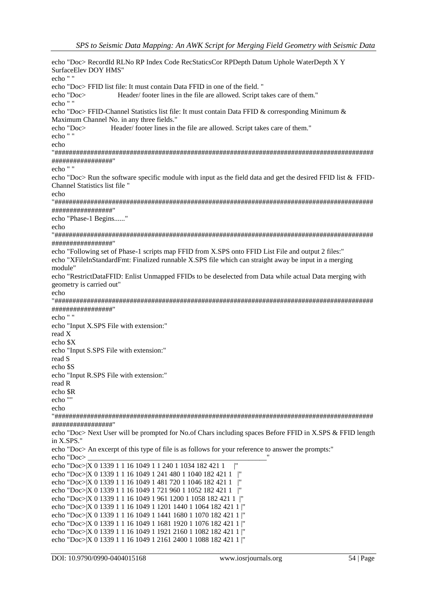echo "Doc> RecordId RLNo RP Index Code RecStaticsCor RPDepth Datum Uphole WaterDepth X Y SurfaceElev DOY HMS" echo " " echo "Doc> FFID list file: It must contain Data FFID in one of the field. " Header/footer lines in the file are allowed. Script takes care of them." echo "Doc> echo " " echo "Doc> FFID-Channel Statistics list file: It must contain Data FFID & corresponding Minimum & Maximum Channel No. in any three fields." echo "Doc> Header/footer lines in the file are allowed. Script takes care of them." echo " " echo ################# echo " " echo "Doc> Run the software specific module with input as the field data and get the desired FFID list & FFID-Channel Statistics list file " echo ################# echo "Phase-1 Begins......"  $echo$ #################" echo "Following set of Phase-1 scripts map FFID from X.SPS onto FFID List File and output 2 files:" echo "XFileInStandardFmt: Finalized runnable X.SPS file which can straight away be input in a merging module" echo "RestrictDataFFID: Enlist Unmapped FFIDs to be deselected from Data while actual Data merging with geometry is carried out" echo ################# echo " " echo "Input X.SPS File with extension:" read X echo \$X echo "Input S.SPS File with extension:" read S echo \$S echo "Input R.SPS File with extension:" read R echo \$R echo "" echo ################# echo "Doc> Next User will be prompted for No.of Chars including spaces Before FFID in X.SPS & FFID length in X.SPS." echo "Doc> An excerpt of this type of file is as follows for your reference to answer the prompts:" echo "Doc> echo "Doc>|X 0 1339 1 1 16 1049 1 1 240 1 1034 182 421 1 echo "Doc>|X 0 1339 1 1 16 1049 1 241 480 1 1040 182 421 1 || echo "Doc>|X 0 1339 1 1 16 1049 1 481 720 1 1046 182 421 1 echo "Doc>|X 0 1339 1 1 16 1049 1 721 960 1 1052 182 421 1 | " echo "Doc>|X 0 1339 1 1 16 1049 1 961 1200 1 1058 182 421 1 |" echo "Doc>|X 0 1339 1 1 16 1049 1 1201 1440 1 1064 182 421 1 |" echo "Doc>|X 0 1339 1 1 16 1049 1 1441 1680 1 1070 182 421 1 |" echo "Doc>|X 0 1339 1 1 16 1049 1 1681 1920 1 1076 182 421 1 |" echo "Doc>|X 0 1339 1 1 16 1049 1 1921 2160 1 1082 182 421 1 |"

echo "Doc>|X 0 1339 1 1 16 1049 1 2161 2400 1 1088 182 421 1 |"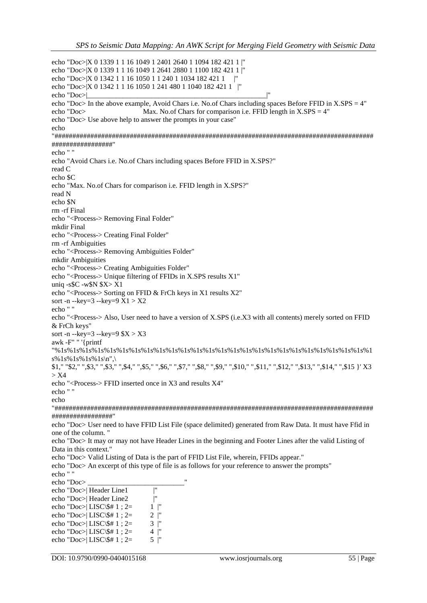echo "Doc>|X 0 1339 1 1 16 1049 1 2401 2640 1 1094 182 421 1 |" echo "Doc>|X 0 1339 1 1 16 1049 1 2641 2880 1 1100 182 421 1 |" echo "Doc>|X 0 1342 1 1 16 1050 1 1 240 1 1034 182 421 1 |" echo "Doc>|X 0 1342 1 1 16 1050 1 241 480 1 1040 182 421 1 |" echo "Doc>|\_\_\_\_\_\_\_\_\_\_\_\_\_\_\_\_\_\_\_\_\_\_\_\_\_\_\_\_\_\_\_\_\_\_\_\_\_\_\_\_\_\_\_\_\_\_\_\_\_\_|" echo "Doc> In the above example, Avoid Chars i.e. No.of Chars including spaces Before FFID in X.SPS = 4" echo "Doc> Max. No.of Chars for comparison i.e. FFID length in X.SPS = 4" echo "Doc> Use above help to answer the prompts in your case" echo "######################################################################################### #################" echo " " echo "Avoid Chars i.e. No.of Chars including spaces Before FFID in X.SPS?" read C echo \$C echo "Max. No.of Chars for comparison i.e. FFID length in X.SPS?" read N echo \$N rm -rf Final echo "<Process-> Removing Final Folder" mkdir Final echo "<Process-> Creating Final Folder" rm -rf Ambiguities echo "<Process-> Removing Ambiguities Folder" mkdir Ambiguities echo "<Process-> Creating Ambiguities Folder" echo "<Process-> Unique filtering of FFIDs in X.SPS results X1" uniq  $-s$C -w$N $X> X1$ echo "<Process-> Sorting on FFID & FrCh keys in X1 results X2" sort -n --key=3 --key=9  $X1 > X2$ echo " " echo "<Process-> Also, User need to have a version of X.SPS (i.e.X3 with all contents) merely sorted on FFID & FrCh keys" sort -n --key= $3 -$ key= $9$  \$ $X > X3$ awk -F" " '{printf "%1s%1s%1s%1s%1s%1s%1s%1s%1s%1s%1s%1s%1s%1s%1s%1s%1s%1s%1s%1s%1s%1s%1s%1s%1s%1  $s\%1s\%1s\%1s\%1s\ln''$ \$1," "\$2," ",\$3," ",\$3," ",\$4," ",\$5," ",\$6," ",\$7," ",\$8," ",\$9," ",\$10," ",\$11," ",\$12," ",\$13," ",\$14," ",\$15 }' X3  $>$  X4 echo "<Process-> FFID inserted once in X3 and results X4" echo " " echo "######################################################################################### #################" echo "Doc> User need to have FFID List File (space delimited) generated from Raw Data. It must have Ffid in one of the column. " echo "Doc> It may or may not have Header Lines in the beginning and Footer Lines after the valid Listing of Data in this context." echo "Doc> Valid Listing of Data is the part of FFID List File, wherein, FFIDs appear." echo "Doc> An excerpt of this type of file is as follows for your reference to answer the prompts" echo " " echo "Doc> echo "Doc>| Header Line1 |"<br>echo "Doc>| Header Line2 |" echo "Doc>| Header Line2 echo "Doc> $|LISC\$ # 1 ; 2= 1 |" echo "Doc> $|LISC\$ # 1 ; 2= 2 |" echo "Doc> $|LISC\$ # 1 ; 2= 3 |" echo "Doc> $|$  LISC $\$ # 1 ; 2= 4 |" echo "Doc> $|LISC\$ # 1 ; 2= 5 |"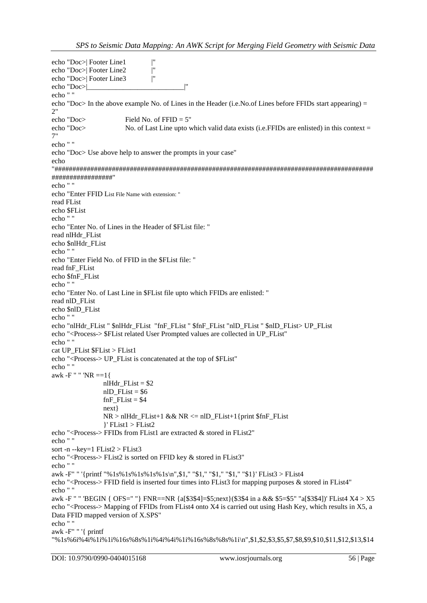echo "Doc>| Footer Line1 |"<br>echo "Doc>| Footer Line2 |" echo "Doc>| Footer Line2 echo "Doc>| Footer Line3 |" echo "Doc>|\_\_\_\_\_\_\_\_\_\_\_\_\_\_\_\_\_\_\_\_\_\_\_\_\_\_\_|" echo " " echo "Doc> In the above example No. of Lines in the Header (i.e.No.of Lines before FFIDs start appearing) =  $2"$ echo "Doc> Field No. of FFID = 5" echo "Doc> No. of Last Line upto which valid data exists (i.e.FFIDs are enlisted) in this context = 7" echo " " echo "Doc> Use above help to answer the prompts in your case" echo "######################################################################################### #################" echo " " echo "Enter FFID List File Name with extension: " read FList echo \$FList echo " " echo "Enter No. of Lines in the Header of \$FList file: " read nlHdr\_FList echo \$nlHdr\_FList echo " " echo "Enter Field No. of FFID in the \$FList file: " read fnF\_FList echo \$fnF\_FList echo " " echo "Enter No. of Last Line in \$FList file upto which FFIDs are enlisted: " read nlD\_FList echo \$nlD\_FList echo " " echo "nlHdr\_FList " \$nlHdr\_FList "fnF\_FList " \$fnF\_FList "nlD\_FList " \$nlD\_FList> UP\_FList echo "<Process-> \$FList related User Prompted values are collected in UP\_FList" echo " " cat UP\_FList \$FList > FList1 echo "<Process-> UP\_FList is concatenated at the top of \$FList" echo " " awk -F " "  $'NR == 1$  { nlHdr\_FList = \$2 nlD  $FList = $6$ fnF FList =  $$4$ next}  $NR > nHdr$  FList+1 && NR <= nlD FList+1{print \$fnF FList }' FList1 > FList2 echo "<Process-> FFIDs from FList1 are extracted  $\&$  stored in FList2" echo " " sort -n --key=1 FList2 > FList3 echo "<Process-> FList2 is sorted on FFID key & stored in FList3" echo " " awk -F" " '{printf "%1s%1s%1s%1s%1s\n",\$1," "\$1," "\$1," "\$1," "\$1}' FList3 > FList4 echo "<Process-> FFID field is inserted four times into FList3 for mapping purposes & stored in FList4" echo " " awk -F " " 'BEGIN { OFS=" "} FNR==NR {a[\$3\$4]=\$5;next}(\$3\$4 in a && \$5=\$5" "a[\$3\$4])' FList4 X4 > X5 echo "<Process-> Mapping of FFIDs from FList4 onto X4 is carried out using Hash Key, which results in X5, a Data FFID mapped version of X.SPS" echo " " awk -F" " '{ printf "%1s%6i%4i%1i%1i%16s%8s%1i%4i%4i%1i%16s%8s%8s%1i\n",\$1,\$2,\$3,\$5,\$7,\$8,\$9,\$10,\$11,\$12,\$13,\$14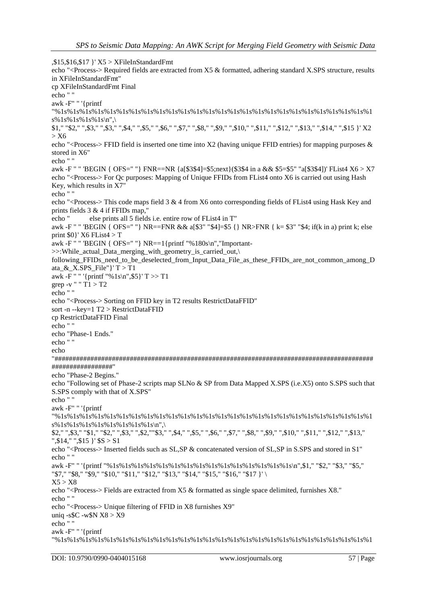,\$15,\$16,\$17 }' X5 > XFileInStandardFmt echo "<Process-> Required fields are extracted from X5 & formatted, adhering standard X.SPS structure, results in XFileInStandardFmt" cp XFileInStandardFmt Final echo " " awk -F" " '{printf "%1s%1s%1s%1s%1s%1s%1s%1s%1s%1s%1s%1s%1s%1s%1s%1s%1s%1s%1s%1s%1s%1s%1s%1s%1s%1  $s\%1s\%1s\%1s\%1s\n$ \$1," "\$2," ",\$3," ",\$3," ",\$4," ",\$5," ",\$6," ",\$7," ",\$8," ",\$9," ",\$10," ",\$11," ",\$12," ",\$13," ",\$14," ",\$15 }' X2  $>$  X6 echo "<Process-> FFID field is inserted one time into X2 (having unique FFID entries) for mapping purposes  $\&$ stored in X6" echo " " awk -F " " 'BEGIN { OFS=" "} FNR==NR {a[\$3\$4]=\$5;next}(\$3\$4 in a && \$5=\$5" "a[\$3\$4])' FList4 X6 > X7 echo "<Process-> For Qc purposes: Mapping of Unique FFIDs from FList4 onto X6 is carried out using Hash Key, which results in X7" echo " " echo "<Process-> This code maps field 3 & 4 from X6 onto corresponding fields of FList4 using Hask Key and prints fields 3 & 4 if FFIDs map," echo " else prints all 5 fields i.e. entire row of FList4 in T" awk -F " " 'BEGIN { OFS=" "} NR==FNR && a[\$3" "\$4]=\$5 { } NR>FNR { k= \$3" "\$4; if(k in a) print k; else print  $$0$ <sup>'</sup> X6 FList $4 > T$ awk -F " " 'BEGIN { OFS=" "} NR==1{printf "%180s\n","Important- >>:While\_actual\_Data\_merging\_with\_geometry\_is\_carried\_out,\ following FFIDs need to be deselected from Input Data File as these FFIDs are not common among D ata\_&\_X.SPS\_File"}' T > T1 awk -F " " '{printf "%1s\n",\$5}' T >> T1 grep -v " " $T1 > T2$ echo " " echo "<Process-> Sorting on FFID key in T2 results RestrictDataFFID" sort -n --key=1 T2 > RestrictDataFFID cp RestrictDataFFID Final echo " " echo "Phase-1 Ends." echo " " echo "######################################################################################### #################" echo "Phase-2 Begins." echo "Following set of Phase-2 scripts map SLNo & SP from Data Mapped X.SPS (i.e.X5) onto S.SPS such that S.SPS comply with that of X.SPS" echo " " awk -F" " '{printf "%1s%1s%1s%1s%1s%1s%1s%1s%1s%1s%1s%1s%1s%1s%1s%1s%1s%1s%1s%1s%1s%1s%1s%1s%1s%1 s%1s%1s%1s%1s%1s%1s%1s%1s\n",\ \$2," ",\$3," "\$1," "\$2," ",\$3," ",\$2,""\$3," ",\$4," ",\$5," ",\$6," ",\$7," ",\$8," ",\$9," ",\$10," ",\$11," ",\$12," ",\$13," ",\$14," ",\$15 }' \$S > S1 echo "<Process-> Inserted fields such as SL,SP & concatenated version of SL,SP in S.SPS and stored in S1" echo " " awk -F" " '{printf "%1s%1s%1s%1s%1s%1s%1s%1s%1s%1s%1s%1s%1s%1s%1s\n",\$1," "\$2," "\$3," "\$5," "\$7," "\$8," "\$9," "\$10," "\$11," "\$12," "\$13," "\$14," "\$15," "\$16," "\$17 }' \  $X5 > X8$ echo "<Process-> Fields are extracted from  $X5 \&$  formatted as single space delimited, furnishes  $X8$ ." echo " " echo "<Process-> Unique filtering of FFID in X8 furnishes X9" uniq -s\$C -w\$N X8 > X9 echo " " awk -F" " '{printf "%1s%1s%1s%1s%1s%1s%1s%1s%1s%1s%1s%1s%1s%1s%1s%1s%1s%1s%1s%1s%1s%1s%1s%1s%1s%1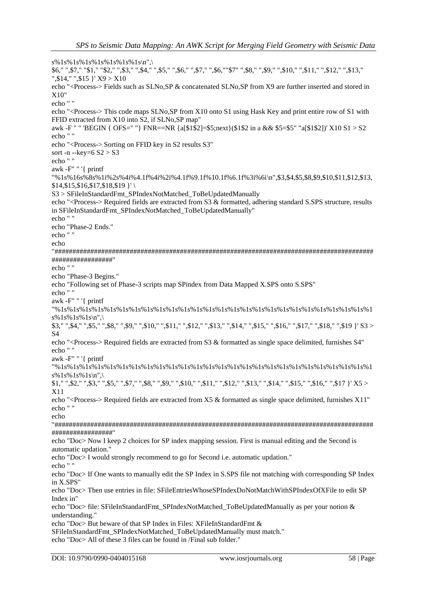s%1s%1s%1s%1s%1s%1s%1s\n",\ \$6," ",\$7," "\$1," "\$2," ",\$3," ",\$4," ",\$5," ",\$6," ",\$7," ",\$6,""\$7" ",\$8," ",\$9," ",\$10," ",\$11," ",\$12," ",\$13," ",\$14," ",\$15 }' X9 > X10 echo "<Process-> Fields such as SLNo,SP & concatenated SLNo,SP from X9 are further inserted and stored in X10" echo " " echo "<Process-> This code maps SLNo,SP from X10 onto S1 using Hask Key and print entire row of S1 with FFID extracted from X10 into S2, if SLNo,SP map" awk -F " " 'BEGIN { OFS=" "} FNR==NR {a[\$1\$2]=\$5;next}(\$1\$2 in a && \$5=\$5" "a[\$1\$2])' X10 S1 > S2 echo " " echo "<Process-> Sorting on FFID key in S2 results S3" sort -n --key=6 S2 > S3 echo " " awk -F" " '{ printf "%1s%16s%8s%1i%2s%4i%4.1f%4i%2i%4.1f%9.1f%10.1f%6.1f%3i%6i\n",\$3,\$4,\$5,\$8,\$9,\$10,\$11,\$12,\$13, \$14,\$15,\$16,\$17,\$18,\$19 }' \ S3 > SFileInStandardFmt\_SPIndexNotMatched\_ToBeUpdatedManually echo "<Process-> Required fields are extracted from S3 & formatted, adhering standard S.SPS structure, results in SFileInStandardFmt\_SPIndexNotMatched\_ToBeUpdatedManually" echo " " echo "Phase-2 Ends." echo " " echo "######################################################################################### #################" echo " " echo "Phase-3 Begins." echo "Following set of Phase-3 scripts map SPindex from Data Mapped X.SPS onto S.SPS" echo " " awk -F" " '{ printf "%1s%1s%1s%1s%1s%1s%1s%1s%1s%1s%1s%1s%1s%1s%1s%1s%1s%1s%1s%1s%1s%1s%1s%1s%1s%1  $s\%1s\%1s\%1s\n$ \$3," ",\$4," ",\$5," ",\$8," ",\$9," ",\$10," ",\$11," ",\$12," ",\$13," ",\$14," ",\$15," ",\$16," ",\$17," ",\$18," ",\$19 }' S3 > S4 echo "<Process-> Required fields are extracted from S3 & formatted as single space delimited, furnishes S4" echo " " awk -F" " '{ printf "%1s%1s%1s%1s%1s%1s%1s%1s%1s%1s%1s%1s%1s%1s%1s%1s%1s%1s%1s%1s%1s%1s%1s%1s%1s%1  $s\%1s\%1s\%1s\n$ \$1," ",\$2," ",\$5," ",\$5," ",\$7," ",\$8," ",\$9," ",\$10," ",\$11," ",\$12," ",\$13," ",\$14," ",\$15," ",\$16," ",\$17 }'  $X5 >$ X11 echo "<Process-> Required fields are extracted from X5 & formatted as single space delimited, furnishes X11" echo " " echo "######################################################################################### #################" echo "Doc> Now I keep 2 choices for SP index mapping session. First is manual editing and the Second is automatic updation." echo "Doc> I would strongly recommend to go for Second i.e. automatic updation." echo " " echo "Doc> If One wants to manually edit the SP Index in S.SPS file not matching with corresponding SP Index in X.SPS" echo "Doc> Then use entries in file: SFileEntriesWhoseSPIndexDoNotMatchWithSPIndexOfXFile to edit SP Index in" echo "Doc> file: SFileInStandardFmt\_SPIndexNotMatched\_ToBeUpdatedManually as per your notion & understanding." echo "Doc> But beware of that SP Index in Files: XFileInStandardFmt & SFileInStandardFmt\_SPIndexNotMatched\_ToBeUpdatedManually must match." echo "Doc> All of these 3 files can be found in /Final sub folder."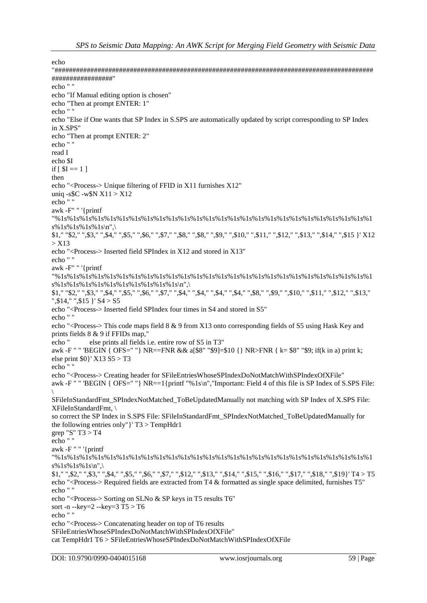$echo$ #################" echo " " echo "If Manual editing option is chosen" echo "Then at prompt ENTER: 1" echo " " echo "Else if One wants that SP Index in S.SPS are automatically updated by script corresponding to SP Index in X.SPS" echo "Then at prompt ENTER: 2" echo " " read I echo \$I if  $\lceil$  \$I == 1 ] then echo "<Process-> Unique filtering of FFID in  $X11$  furnishes  $X12$ " uniq -s\$C -w\$N  $X11 > X12$ echo " " awk -F" " '{printf  $s\%1s\%1s\%1s\%1s\ln''$ \$1." "\$2." ".\$3." ".\$4." ".\$5." ".\$6." ".\$7." ".\$8." ".\$8." ".\$9." ".\$10." ".\$11." ".\$12." ".\$13." ".\$14." ".\$15 }' X12  $> X13$ echo "<Process-> Inserted field SPIndex in X12 and stored in X13" echo " " awk -F" " '{printf \$1," "\$2," ",\$3," ",\$4," ",\$5," ",\$6," ",\$7," ",\$4," ",\$4," ",\$4," ",\$4," ",\$8," ",\$9," ",\$10," ",\$11," ",\$12," ",\$13," ", \$14, " ", \$15 }  $S4 > S5$ echo "<Process-> Inserted field SPIndex four times in S4 and stored in S5" echo " " echo "<Process-> This code maps field 8 & 9 from X13 onto corresponding fields of S5 using Hask Key and prints fields 8 & 9 if FFIDs map." echo" else prints all fields i.e. entire row of S5 in T3" awk -F " " 'BEGIN { OFS=" "} NR==FNR && a[\$8" "\$9]=\$10 { } NR>FNR { k= \$8" "\$9; if(k in a) print k; else print  $$0$  }' X13 S5 > T3 echo " " echo "<Process-> Creating header for SFileEntriesWhoseSPIndexDoNotMatchWithSPIndexOfXFile" awk -F " " 'BEGIN { OFS=" "} NR==1{printf "%1s\n","Important: Field 4 of this file is SP Index of S.SPS File: SFileInStandardFmt SPIndexNotMatched ToBeUpdatedManually not matching with SP Index of X.SPS File: XFileInStandardFmt. so correct the SP Index in S.SPS File: SFileInStandardFmt\_SPIndexNotMatched\_ToBeUpdatedManually for the following entries only" }'  $T3 > TempHdr1$ grep "S"  $T3 > T4$ echo " $\hspace{0.1mm}$  " awk -F " " '{printf  $s\%1s\%1s\%1s\ln''$ . \$1," ",\$2," ",\$3," ",\$4," ",\$5," ",\$6," ",\$7," ",\$12," ",\$13," ",\$14," ",\$15," ",\$16," ",\$17," ",\$18," ",\$19}' T4 > T5 echo "<Process-> Required fields are extracted from T4 & formatted as single space delimited, furnishes T5" echo " " echo "<Process-> Sorting on SLNo & SP keys in T5 results T6" sort -n --key=2 --key=3  $T5 > T6$ echo " " echo "<Process-> Concatenating header on top of T6 results SFileEntriesWhoseSPIndexDoNotMatchWithSPIndexOfXFile" cat TempHdr1 T6 > SFileEntriesWhoseSPIndexDoNotMatchWithSPIndexOfXFile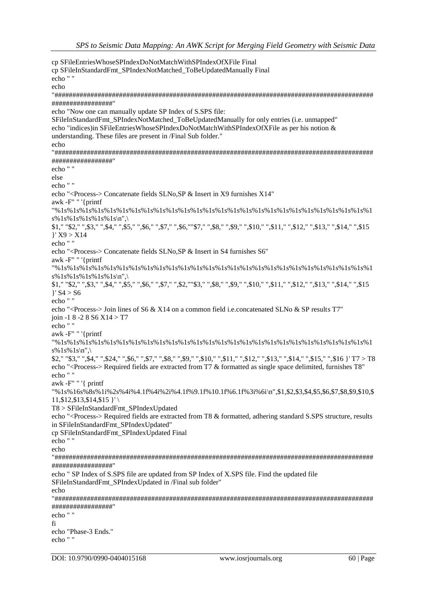cp SFileEntriesWhoseSPIndexDoNotMatchWithSPIndexOfXFile Final

cp SFileInStandardFmt SPIndexNotMatched ToBeUpdatedManually Final

echo " "

echo

#################"

echo "Now one can manually update SP Index of S.SPS file: SFileInStandardFmt SPIndexNotMatched ToBeUpdatedManually for only entries (i.e. unmapped" echo "indices)in SFileEntriesWhoseSPIndexDoNotMatchWithSPIndexOfXFile as per his notion &

understanding. These files are present in /Final Sub folder."

echo

#################

echo " " else echo " " echo "<Process-> Concatenate fields SLNo, SP & Insert in X9 furnishes X14" awk -F" " '{printf  $s\%1s\%1s\%1s\%1s\%1s\ln''.$ \$1," "\$2," ",\$3," ",\$4," ",\$5," ",\$6," ",\$7," ",\$6," "\$7," ",\$8," ",\$9," ",\$10," ",\$11," ",\$12," ",\$13," ",\$14," ",\$15  $Y X9 > X14$ echo " " echo "<Process-> Concatenate fields SLNo, SP & Insert in S4 furnishes S6" awk -F" " '{printf  $s\%1s\%1s\%1s\%1s\%1s\ln",$ \$1," "\$2," ",\$3," ",\$4," ",\$5," ",\$6," ",\$7," ",\$2,""\$3," ",\$8," ",\$9," ",\$10," ",\$11," ",\$12," ",\$13," ",\$14," ",\$15  $\}$ ' S4 > S6 echo " " echo "<Process-> Join lines of S6 & X14 on a common field i.e.concatenated SLNo & SP results T7" join -1  $8 - 2856X14 > T7$ echo " " awk -F" " '{printf  $s\%$  1s\% 1s\n". \$2," "\$3," ",\$4," ",\$24," ",\$6," ",\$7," ",\$8," ",\$9," ",\$10," ",\$11," ",\$12," ",\$13," ",\$14," ",\$15," ",\$16 }'T7 > T8 echo "<Process-> Required fields are extracted from T7 & formatted as single space delimited, furnishes T8" echo " " awk -F" " '{ printf "%1s%16s%8s%1i%2s%4i%4.1f%4i%2i%4.1f%9.1f%10.1f%6.1f%3i%6i\n",\$1,\$2,\$3,\$4,\$5,\$6,\$7,\$8,\$9,\$10,\$  $11, $12, $13, $14, $15 \}$ T8 > SFileInStandardFmt SPIndexUpdated echo "<Process-> Required fields are extracted from T8 & formatted, adhering standard S.SPS structure, results in SFileInStandardFmt\_SPIndexUpdated" cp SFileInStandardFmt\_SPIndexUpdated Final echo " " echo ################# echo " SP Index of S.SPS file are updated from SP Index of X.SPS file. Find the updated file SFileInStandardFmt SPIndexUpdated in /Final sub folder" echo ################# echo " "  $f_1$ echo "Phase-3 Ends." echo " "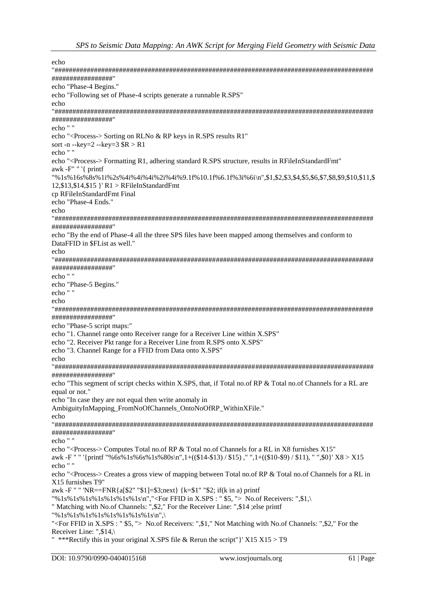$echo$ #################" echo "Phase-4 Begins." echo "Following set of Phase-4 scripts generate a runnable R.SPS" echo ################ echo " " echo "<Process-> Sorting on RLNo & RP keys in R.SPS results R1" sort -n --key=2 --key=3  $R > R1$ echo " ' echo "<Process-> Formatting R1, adhering standard R.SPS structure, results in RFileInStandardFmt" awk -F" " '{ printf "%1s%16s%8s%1i%2s%4i%4i%4i%2i%4i%9.1f%10.1f%6.1f%3i%6i\n",\$1,\$2,\$3,\$4,\$5,\$6,\$7,\$8,\$9,\$10,\$11,\$  $12. \$13. \$14. \$15$  }' $R1 > RF$ ileInStandardFmt cp RFileInStandardFmt Final echo "Phase-4 Ends."  $echo$ ################# echo "By the end of Phase-4 all the three SPS files have been mapped among themselves and conform to DataFFID in \$FList as well."  $echo$ #################" echo " " echo "Phase-5 Begins." echo " $\,$ " echo ################# echo "Phase-5 script maps:" echo "1. Channel range onto Receiver range for a Receiver Line within X.SPS" echo "2. Receiver Pkt range for a Receiver Line from R.SPS onto X.SPS" echo "3. Channel Range for a FFID from Data onto X.SPS" echo ################## echo "This segment of script checks within X.SPS, that, if Total no.of RP & Total no.of Channels for a RL are equal or not." echo "In case they are not equal then write anomaly in AmbiguityInMapping FromNoOfChannels OntoNoOfRP WithinXFile."  $echo$ #################" echo " " echo "<Process-> Computes Total no.of RP & Total no.of Channels for a RL in X8 furnishes X15" awk -F " "'{printf "%6s%1s%6s%1s%80s\n",1+((\$14-\$13)/\$15)," ",1+((\$10-\$9)/\$11), " ",\$0}' X8 > X15 echo " " echo "<Process-> Creates a gross view of mapping between Total no.of RP & Total no.of Channels for a RL in X15 furnishes T9" awk -F " " 'NR==FNR{a[\$2" "\$1]=\$3;next} {k=\$1" "\$2; if(k in a) printf "%1s%1s%1s%1s%1s%1s%1s\n","<For FFID in X.SPS : "\$5,"> No.of Receivers: ",\$1,\ " Matching with No.of Channels: ", \$2," For the Receiver Line: ", \$14 ; else printf "%1s%1s%1s%1s%1s%1s%1s%1s\n",\ "<For FFID in X.SPS : " \$5, "> No.of Receivers: ",\$1," Not Matching with No.of Channels: ",\$2," For the Receiver Line: ",\$14,\ " \*\*\*Rectify this in your original X.SPS file & Rerun the script" |  $X15 \times 15 > T9$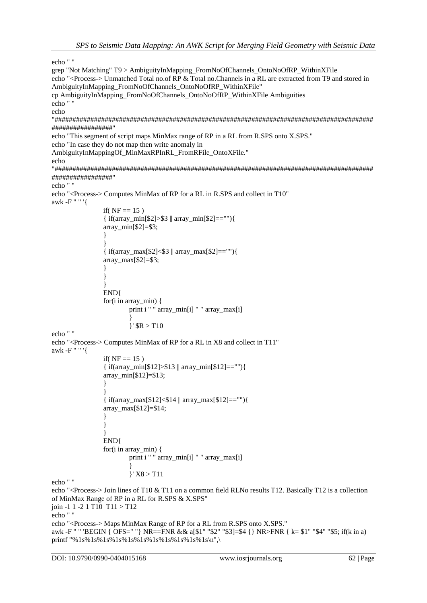```
echo " "
grep "Not Matching" T9 > AmbiguityInMapping_FromNoOfChannels_OntoNoOfRP_WithinXFile
echo "<Process-> Unmatched Total no.of RP & Total no.Channels in a RL are extracted from T9 and stored in 
AmbiguityInMapping_FromNoOfChannels_OntoNoOfRP_WithinXFile" 
cp AmbiguityInMapping_FromNoOfChannels_OntoNoOfRP_WithinXFile Ambiguities
echo " "
echo 
"#########################################################################################
#################"
echo "This segment of script maps MinMax range of RP in a RL from R.SPS onto X.SPS."
echo "In case they do not map then write anomaly in 
AmbiguityInMappingOf_MinMaxRPInRL_FromRFile_OntoXFile."
echo 
"#########################################################################################
#################"
echo " "
echo "<Process-> Computes MinMax of RP for a RL in R.SPS and collect in T10"
awk -F " " '{
                if(NF == 15)
                { if(array_min[$2]>$3 || array_min[$2]==""){
                array min[$2]=$3;
                }
                }
                { if(array_max[$2]<$3 || array_max[$2]==""){
                array max[$2]=$3;}
                }
                }
                END{
                for(i in array_min) {
                        print i " " array min[i] " " array max[i]
                         }
                         }' $R > T10
echo " "
echo "<Process-> Computes MinMax of RP for a RL in X8 and collect in T11"
awk -F " " '{
                if(NF == 15)
                { if(array_min[$12]>$13 || array_min[$12]==""){
                array_min[$12]=$13;
                }
                }
                {if(array max[$12] < $14 || array max[$12]==""){
                array max[$12]=$14;
                }
                }
                }
                END{
                for(i in array_min) {
                        print i " " array_min[i] " " array_max[i]
                         }
                         }' X8 > T11
echo " "
echo "<Process-> Join lines of T10 & T11 on a common field RLNo results T12. Basically T12 is a collection 
of MinMax Range of RP in a RL for R.SPS & X.SPS"
join -1 1 -2 1 T10 T11 > T12echo " "
echo "<Process-> Maps MinMax Range of RP for a RL from R.SPS onto X.SPS."
awk -F " " 'BEGIN { OFS=" "} NR==FNR && a[$1" "$2" "$3]=$4 {} NR>FNR { k= $1" "$4" "$5; if(k in a) 
printf "%1s%1s%1s%1s%1s%1s%1s%1s%1s%1s\n",\
```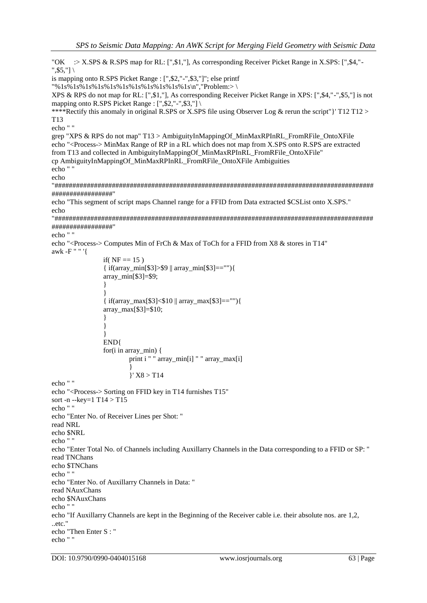"OK :> X.SPS & R.SPS map for RL: [",\$1,"], As corresponding Receiver Picket Range in X.SPS: [",\$4,"-  $".\$5."] \setminus$ 

is mapping onto R.SPS Picket Range : [",\$2,"-",\$3,"]"; else printf

"%1s%1s%1s%1s%1s%1s%1s%1s%1s%1s%1s%1s\n","Problem:>

XPS & RPS do not map for RL: [",\$1,"], As corresponding Receiver Picket Range in XPS: [",\$4,"-",\$5,"] is not mapping onto R.SPS Picket Range : [",\$2,"-",\$3,"] \

\*\*\*\*Rectify this anomaly in original R.SPS or X.SPS file using Observer Log & rerun the script"}' T12 T12 > T13

echo " "

grep "XPS & RPS do not map" T13 > AmbiguityInMappingOf\_MinMaxRPInRL\_FromRFile\_OntoXFile echo "<Process-> MinMax Range of RP in a RL which does not map from X.SPS onto R.SPS are extracted from T13 and collected in AmbiguityInMappingOf\_MinMaxRPInRL\_FromRFile\_OntoXFile" cp AmbiguityInMappingOf\_MinMaxRPInRL\_FromRFile\_OntoXFile Ambiguities

echo " "

echo

"######################################################################################### #################"

echo "This segment of script maps Channel range for a FFID from Data extracted \$CSList onto X.SPS." echo

"######################################################################################### #################"

echo " "

echo "<Process-> Computes Min of FrCh & Max of ToCh for a FFID from X8 & stores in T14" awk -F " " '{

if( $NF == 15$ ) { if(array\_min[\$3]>\$9 || array\_min[\$3]==""){ array\_min[\$3]=\$9; } } { if(array\_max[\$3]<\$10 || array\_max[\$3]==""){ array  $max[$3]=$10$ ; } } } END{ for(i in array\_min) { print i " " array\_min[i] " " array\_max[i] } }' X8 > T14 echo " " echo "<Process-> Sorting on FFID key in T14 furnishes T15" sort -n --key=1  $T14 > T15$ echo " " echo "Enter No. of Receiver Lines per Shot: " read NRL echo \$NRL echo " " echo "Enter Total No. of Channels including Auxillarry Channels in the Data corresponding to a FFID or SP: " read TNChans echo \$TNChans echo " " echo "Enter No. of Auxillarry Channels in Data: " read NAuxChans echo \$NAuxChans echo " " echo "If Auxillarry Channels are kept in the Beginning of the Receiver cable i.e. their absolute nos. are 1,2, ..etc." echo "Then Enter S : "

echo " "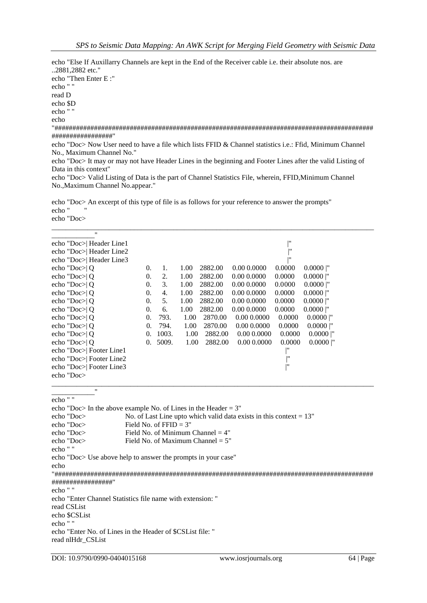echo "Else If Auxillarry Channels are kept in the End of the Receiver cable i.e. their absolute nos. are ..2881,2882 etc."

echo "Then Enter E :" echo " " read D echo \$D echo " " echo

"######################################################################################### #################"

echo "Doc> Now User need to have a file which lists FFID & Channel statistics i.e.: Ffid, Minimum Channel No., Maximum Channel No."

echo "Doc> It may or may not have Header Lines in the beginning and Footer Lines after the valid Listing of Data in this context"

\_\_\_\_\_\_\_\_\_\_\_\_\_\_\_\_\_\_\_\_\_\_\_\_\_\_\_\_\_\_\_\_\_\_\_\_\_\_\_\_\_\_\_\_\_\_\_\_\_\_\_\_\_\_\_\_\_\_\_\_\_\_\_\_\_\_\_\_\_\_\_\_\_\_\_\_\_\_\_\_\_\_\_\_\_\_\_\_\_\_

echo "Doc> Valid Listing of Data is the part of Channel Statistics File, wherein, FFID,Minimum Channel No.,Maximum Channel No.appear."

echo "Doc> An excerpt of this type of file is as follows for your reference to answer the prompts" echo "

echo "Doc>

| $^{\prime\prime}$        |            |       |      |         |                |                   |             |
|--------------------------|------------|-------|------|---------|----------------|-------------------|-------------|
| echo "Doc>  Header Line1 |            |       |      |         |                | $^{\prime\prime}$ |             |
| echo "Doc>  Header Line2 |            |       |      |         |                | m                 |             |
| echo "Doc>  Header Line3 |            |       |      |         |                | $^{\prime}$       |             |
| echo "Doc>  Q            | $\Omega$ . | 1.    | 1.00 | 2882.00 | 0.00 0.0000    | 0.0000            | $0.0000$  " |
| echo "Doc>  Q            | 0.         | 2.    | 1.00 | 2882.00 | 0.00 0.0000    | 0.0000            | $0.0000$  " |
| echo "Doc $>$ $ $ Q      | 0.         | 3.    | 1.00 | 2882.00 | $0.00\ 0.0000$ | 0.0000            | $0.0000$  " |
| echo "Doc>  Q            | 0.         | 4.    | 1.00 | 2882.00 | 0.00 0.0000    | 0.0000            | $0.0000$  " |
| echo "Doc $>$ $ $ Q      | 0.         | 5.    | 1.00 | 2882.00 | 0.00 0.0000    | 0.0000            | $0.0000$  " |
| echo "Doc $>$ $ $ Q      | $\Omega$ . | 6.    | 1.00 | 2882.00 | 0.00 0.0000    | 0.0000            | $0.0000$  " |
| echo "Doc $>Q$           | 0.         | 793.  | 1.00 | 2870.00 | 0.00 0.0000    | 0.0000            | $0.0000$  " |
| echo "Doc $>Q$           | $\theta$ . | 794.  | 1.00 | 2870.00 | 0.00 0.0000    | 0.0000            | $0.0000$  " |
| echo "Doc $>$ $ $ Q      | 0.         | 1003. | 1.00 | 2882.00 | $0.00\ 0.0000$ | 0.0000            | $0.0000$  " |
| echo "Doc $>Q$           | $\theta$ . | 5009. | 1.00 | 2882.00 | 0.00 0.0000    | 0.0000            | $0.0000$  " |
| echo "Doc>  Footer Line1 |            |       |      |         |                |                   |             |
| echo "Doc>  Footer Line2 |            |       |      |         |                | '''               |             |
| echo "Doc>  Footer Line3 |            |       |      |         |                | $^{\prime\prime}$ |             |
| echo "Doc>               |            |       |      |         |                |                   |             |
|                          |            |       |      |         |                |                   |             |

echo " "

\_\_\_\_\_\_\_\_\_\_\_\_"

echo "Doc> In the above example No. of Lines in the Header  $= 3$ " echo "Doc> No. of Last Line upto which valid data exists in this context = 13" echo "Doc> Field No. of FFID = 3" echo "Doc> Field No. of Minimum Channel = 4"<br>
echo "Doc> Field No. of Maximum Channel = 5" Field No. of Maximum Channel  $= 5"$ echo " " echo "Doc> Use above help to answer the prompts in your case" echo "######################################################################################### #################" echo " " echo "Enter Channel Statistics file name with extension: " read CSList echo \$CSList echo " " echo "Enter No. of Lines in the Header of \$CSList file: " read nlHdr\_CSList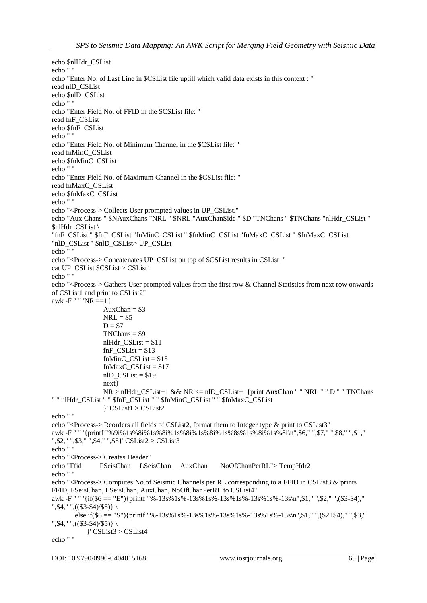```
echo $nlHdr_CSList
echo " "
echo "Enter No. of Last Line in $CSList file uptill which valid data exists in this context : "
read nlD_CSList
echo $nlD_CSList
echo " "
echo "Enter Field No. of FFID in the $CSList file: "
read fnF_CSList
echo $fnF_CSList
echo " "
echo "Enter Field No. of Minimum Channel in the $CSList file: "
read fnMinC_CSList
echo $fnMinC_CSList
echo " "
echo "Enter Field No. of Maximum Channel in the $CSList file: "
read fnMaxC_CSList
echo $fnMaxC_CSList
echo " "
echo "<Process-> Collects User prompted values in UP_CSList."
echo "Aux Chans " $NAuxChans "NRL " $NRL "AuxChanSide " $D "TNChans " $TNChans "nlHdr_CSList " 
$nlHdr_CSList \
"fnF_CSList " $fnF_CSList "fnMinC_CSList " $fnMinC_CSList "fnMaxC_CSList " $fnMaxC_CSList 
"nlD_CSList " $nlD_CSList> UP_CSList
echo " "
echo "<Process-> Concatenates UP_CSList on top of $CSList results in CSList1"
cat UP_CSList $CSList > CSList1
echo " "
echo "<Process-> Gathers User prompted values from the first row & Channel Statistics from next row onwards 
of CSList1 and print to CSList2"
awk -F " " 'NR == 1 {
                AuxChan = $3NRL = $5D = $7TNChans = $9nlHdrCSList = $11fnF CSList = $13fnMinC_CSList = $15
                fnMaxC_CSList = $17nlD CSList = $19next}
                NR > nHdr CSList+1 && NR <= nlD CSList+1{print AuxChan " " NRL " " D " " TNChans
" " nlHdr_CSList " " $fnF_CSList " " $fnMinC_CSList " " $fnMaxC_CSList
                }' CSList1 > CSList2
echo " "
echo "<Process-> Reorders all fields of CSList2, format them to Integer type & print to CSList3"
awk -F " " '{printf "%9i%1s%8i%1s%8i%1s%8i%1s%8i%1s%8s%1s%8i%1s%8i\n",$6," ",$7," ",$8," ",$1," 
",$2," ",$3," ",$4," ",$5}' CSList2 > CSList3
echo " "
echo "<Process-> Creates Header"
echo "Ffid FSeisChan LSeisChan AuxChan NoOfChanPerRL"> TempHdr2
echo " "
echo "<Process-> Computes No.of Seismic Channels per RL corresponding to a FFID in CSList3 & prints 
FFID, FSeisChan, LSeisChan, AuxChan, NoOfChanPerRL to CSList4" 
awk -F " " '{if($6 == "E"){printf "%-13s%1s%-13s%1s%-13s%1s%-13s%1s%-13s\n",$1," ",$2," ",($3-$4)," 
", $4," ",((\$3-\$4)/\$5) \
       else if($6 == "S"){printf "%-13s%1s%-13s%1s%-13s%1s%-13s%1s%-13s%1s%-13s\n",$1," ",($2+$4)," ",$3,"
",\$4," ",((\$3-\$4)/\$5) }' CSList3 > CSList4
```
echo " "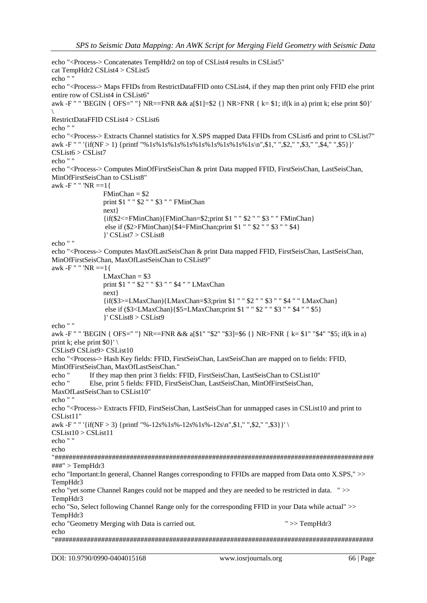```
echo "<Process-> Concatenates TempHdr2 on top of CSList4 results in CSList5" 
cat TempHdr2 CSList4 > CSList5
echo " "
echo "<Process-> Maps FFIDs from RestrictDataFFID onto CSList4, if they map then print only FFID else print 
entire row of CSList4 in CSList6"
awk -F " " 'BEGIN { OFS=" "} NR==FNR && a[$1]=$2 { } NR>FNR { k= $1; if(k in a) print k; else print $0}'
\
RestrictDataFFID CSList4 > CSList6
echo " "
echo "<Process-> Extracts Channel statistics for X.SPS mapped Data FFIDs from CSList6 and print to CSList7"
awk -F " " '{if(NF > 1) {printf "%1s%1s%1s%1s%1s%1s%1s%1s%1s\n",$1," ",$2," ",$3," ",$4," ",$5}}' 
CSList6 > CSList7
echo " "
echo "<Process-> Computes MinOfFirstSeisChan & print Data mapped FFID, FirstSeisChan, LastSeisChan, 
MinOfFirstSeisChan to CSList8" 
awk -F " " 'NR == 1 {
                FMinChan = $2
                print $1 " " $2 " " $3 " " FMinChan
                next}
                {if($2<=FMinChan){FMinChan=$2;print $1 " " $2 " " $3 " " FMinChan}
                 else if ($2>FMinChan){$4=FMinChan;print $1 " " $2 " " $3 " " $4}
                }' CSList7 > CSList8
echo " "
echo "<Process-> Computes MaxOfLastSeisChan & print Data mapped FFID, FirstSeisChan, LastSeisChan, 
MinOfFirstSeisChan, MaxOfLastSeisChan to CSList9"
awk -F " " 'NR == 1 {
                LMaxChan = $3print $1 " " $2 " " $3 " " $4 " " LMaxChan
                next}
                {if($3>=LMaxChan){LMaxChan=$3;print $1 " " $2 " " $3 " " $4 " " LMaxChan}
                 else if ($3<LMaxChan){$5=LMaxChan;print $1 " " $2 " " $3 " " $4 " " $5}
                }' CSList8 > CSList9
echo " "
awk -F " " 'BEGIN { OFS=" " } NR==FNR && a[$1" "$2" "$3]=$6 { } NR>FNR { k= $1" "$4" "$5; if(k in a)
print k; else print $0}' \
CSList9 CSList9> CSList10
echo "<Process-> Hash Key fields: FFID, FirstSeisChan, LastSeisChan are mapped on to fields: FFID, 
MinOfFirstSeisChan, MaxOfLastSeisChan."
echo " If they map then print 3 fields: FFID, FirstSeisChan, LastSeisChan to CSList10"
echo " Else, print 5 fields: FFID, FirstSeisChan, LastSeisChan, MinOfFirstSeisChan, 
MaxOfLastSeisChan to CSList10"
echo " "
echo "<Process-> Extracts FFID, FirstSeisChan, LastSeisChan for unmapped cases in CSList10 and print to 
CSList11"
awk -F " " '{if(NF > 3) {printf "%-12s%1s%-12s%1s%-12s\n",$1," ",$2," ",$3}}' \
CSList10 > CSList11
echo " "
echo 
"#########################################################################################
###" > TempHdr3
echo "Important:In general, Channel Ranges corresponding to FFIDs are mapped from Data onto X.SPS," >> 
TempHdr3
echo "yet some Channel Ranges could not be mapped and they are needed to be restricted in data. " >> 
TempHdr3
echo "So, Select following Channel Range only for the corresponding FFID in your Data while actual" >> 
TempHdr3
echo "Geometry Merging with Data is carried out. " >> TempHdr3
echo 
"#########################################################################################
```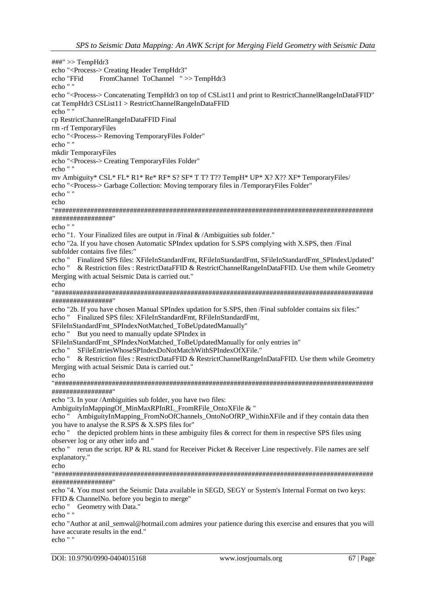###" >> TempHdr3 echo "<Process-> Creating Header TempHdr3" echo "FFid FromChannel ToChannel " >> TempHdr3 echo " " echo "<Process-> Concatenating TempHdr3 on top of CSList11 and print to RestrictChannelRangeInDataFFID" cat TempHdr3 CSList11 > RestrictChannelRangeInDataFFID echo " " cp RestrictChannelRangeInDataFFID Final rm -rf TemporaryFiles echo "<Process-> Removing TemporaryFiles Folder" echo " " mkdir TemporaryFiles echo "<Process-> Creating TemporaryFiles Folder" echo " " mv Ambiguity\* CSL\* FL\* R1\* Re\* RF\* S? SF\* T T? T?? TempH\* UP\* X? X?? XF\* TemporaryFiles/ echo "<Process-> Garbage Collection: Moving temporary files in /TemporaryFiles Folder" echo " " echo "######################################################################################### #################" echo " " echo "1. Your Finalized files are output in /Final & /Ambiguities sub folder." echo "2a. If you have chosen Automatic SPIndex updation for S.SPS complying with X.SPS, then /Final subfolder contains five files:" echo " Finalized SPS files: XFileInStandardFmt, RFileInStandardFmt, SFileInStandardFmt\_SPIndexUpdated" echo " & Restriction files : RestrictDataFFID & RestrictChannelRangeInDataFFID. Use them while Geometry Merging with actual Seismic Data is carried out." echo "######################################################################################### #################" echo "2b. If you have chosen Manual SPIndex updation for S.SPS, then /Final subfolder contains six files:" echo " Finalized SPS files: XFileInStandardFmt, RFileInStandardFmt, SFileInStandardFmt\_SPIndexNotMatched\_ToBeUpdatedManually" echo " But you need to manually update SPIndex in SFileInStandardFmt\_SPIndexNotMatched\_ToBeUpdatedManually for only entries in" echo " SFileEntriesWhoseSPIndexDoNotMatchWithSPIndexOfXFile." echo " & Restriction files : RestrictDataFFID & RestrictChannelRangeInDataFFID. Use them while Geometry Merging with actual Seismic Data is carried out." echo "######################################################################################### #################" echo "3. In your /Ambiguities sub folder, you have two files: AmbiguityInMappingOf\_MinMaxRPInRL\_FromRFile\_OntoXFile & " echo " AmbiguityInMapping\_FromNoOfChannels\_OntoNoOfRP\_WithinXFile and if they contain data then you have to analyse the R.SPS & X.SPS files for" echo " the depicted problem hints in these ambiguity files & correct for them in respective SPS files using observer log or any other info and " echo " rerun the script. RP & RL stand for Receiver Picket & Receiver Line respectively. File names are self explanatory." echo "######################################################################################### #################" echo "4. You must sort the Seismic Data available in SEGD, SEGY or System's Internal Format on two keys: FFID & ChannelNo. before you begin to merge" echo " Geometry with Data." echo " " echo "Author at anil\_semwal@hotmail.com admires your patience during this exercise and ensures that you will

have accurate results in the end."

echo " "